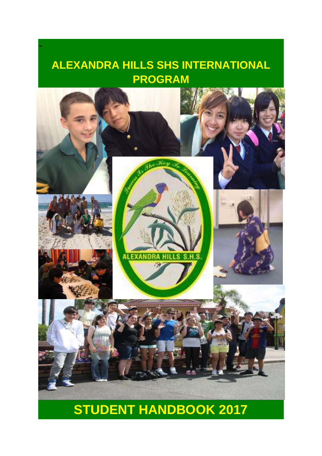# **ALEXANDRA HILLS SHS INTERNATIONAL PROGRAM**

-



# **STUDENT HANDBOOK 2017**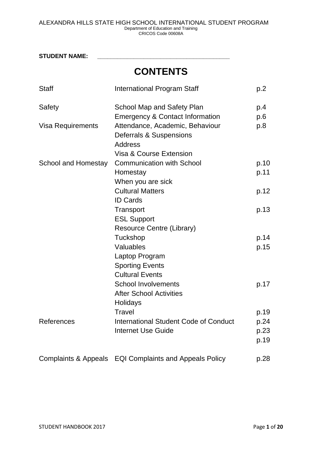**STUDENT NAME: \_\_\_\_\_\_\_\_\_\_\_\_\_\_\_\_\_\_\_\_\_\_\_\_\_\_\_\_\_\_\_\_\_\_\_\_\_\_\_\_ CONTENTS** Staff **International Program Staff p.2** p.2 Safety School Map and Safety Plan Emergency & Contact Information p.4 p.6 Visa Requirements Attendance, Academic, Behaviour Deferrals & Suspensions Address Visa & Course Extension p.8 School and Homestay Communication with School **Homestay** When you are sick Cultural Matters ID Cards **Transport** ESL Support Resource Centre (Library) **Tuckshop** Valuables Laptop Program Sporting Events Cultural Events School Involvements After School Activities **Holidays Travel** p.10 p.11 p.12 p.13 p.14 p.15 p.17 p.19 References International Student Code of Conduct Internet Use Guide p.24 p.23 p.19 Complaints & Appeals EQI Complaints and Appeals Policy p.28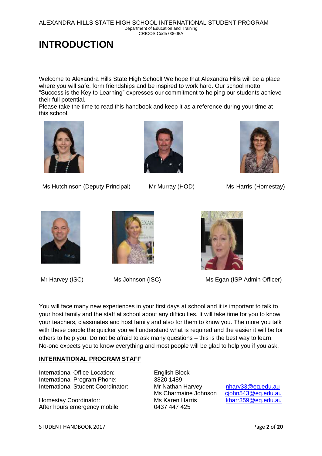ALEXANDRA HILLS STATE HIGH SCHOOL INTERNATIONAL STUDENT PROGRAM Department of Education and Training CRICOS Code 00608A

# **INTRODUCTION**

Welcome to Alexandra Hills State High School! We hope that Alexandra Hills will be a place where you will safe, form friendships and be inspired to work hard. Our school motto "Success is the Key to Learning" expresses our commitment to helping our students achieve their full potential.

Please take the time to read this handbook and keep it as a reference during your time at this school.



Ms Hutchinson (Deputy Principal) Mr Murray (HOD) Ms Harris (Homestay)











Mr Harvey (ISC) Ms Johnson (ISC) Ms Egan (ISP Admin Officer)

You will face many new experiences in your first days at school and it is important to talk to your host family and the staff at school about any difficulties. It will take time for you to know your teachers, classmates and host family and also for them to know you. The more you talk with these people the quicker you will understand what is required and the easier it will be for others to help you. Do not be afraid to ask many questions – this is the best way to learn. No-one expects you to know everything and most people will be glad to help you if you ask.

#### **INTERNATIONAL PROGRAM STAFF**

International Office Location: English Block International Program Phone: 3820 1489 International Student Coordinator: Mr Nathan Harvey [nharv33@eq.edu.au](mailto:nharv33@eq.edu.au)

Homestay Coordinator: Ms Karen Harris [kharr359@eq.edu.au](mailto:kharr359@eq.edu.au) After hours emergency mobile 0437 447 425

Ms Charmaine Johnson [cjohn543@eq.edu.au](mailto:cjohn543@eq.edu.au)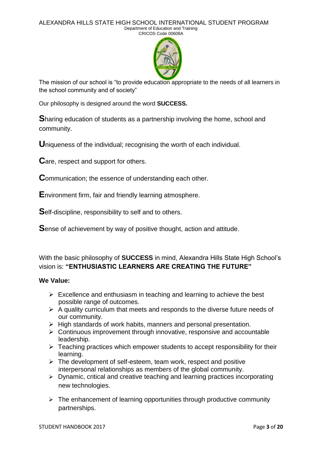

The mission of our school is "to provide education appropriate to the needs of all learners in the school community and of society"

Our philosophy is designed around the word **SUCCESS.**

**S**haring education of students as a partnership involving the home, school and community.

**U**niqueness of the individual; recognising the worth of each individual.

**C**are, respect and support for others.

**C**ommunication; the essence of understanding each other.

**E**nvironment firm, fair and friendly learning atmosphere.

**S**elf-discipline, responsibility to self and to others.

**S**ense of achievement by way of positive thought, action and attitude.

With the basic philosophy of **SUCCESS** in mind, Alexandra Hills State High School's vision is: **"ENTHUSIASTIC LEARNERS ARE CREATING THE FUTURE"**

#### **We Value:**

- $\triangleright$  Excellence and enthusiasm in teaching and learning to achieve the best possible range of outcomes.
- $\triangleright$  A quality curriculum that meets and responds to the diverse future needs of our community.
- $\triangleright$  High standards of work habits, manners and personal presentation.
- $\triangleright$  Continuous improvement through innovative, responsive and accountable leadership.
- $\triangleright$  Teaching practices which empower students to accept responsibility for their learning.
- $\triangleright$  The development of self-esteem, team work, respect and positive interpersonal relationships as members of the global community.
- $\triangleright$  Dynamic, critical and creative teaching and learning practices incorporating new technologies.
- $\triangleright$  The enhancement of learning opportunities through productive community partnerships.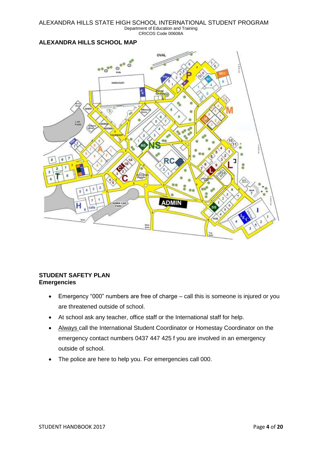#### **ALEXANDRA HILLS SCHOOL MAP**



#### **STUDENT SAFETY PLAN Emergencies**

- Emergency "000" numbers are free of charge call this is someone is injured or you are threatened outside of school.
- At school ask any teacher, office staff or the International staff for help.
- Always call the International Student Coordinator or Homestay Coordinator on the emergency contact numbers 0437 447 425 f you are involved in an emergency outside of school.
- The police are here to help you. For emergencies call 000.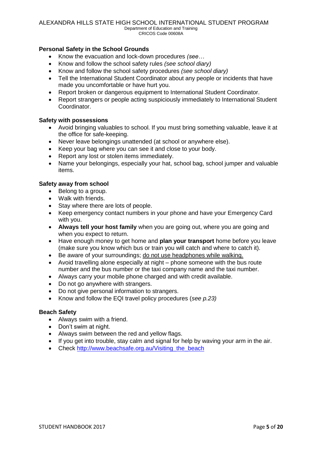#### **Personal Safety in the School Grounds**

- Know the evacuation and lock-down procedures *(see…*
- Know and follow the school safety rules *(see school diary)*
- Know and follow the school safety procedures *(see school diary)*
- Tell the International Student Coordinator about any people or incidents that have made you uncomfortable or have hurt you.
- Report broken or dangerous equipment to International Student Coordinator.
- Report strangers or people acting suspiciously immediately to International Student Coordinator.

#### **Safety with possessions**

- Avoid bringing valuables to school. If you must bring something valuable, leave it at the office for safe-keeping.
- Never leave belongings unattended (at school or anywhere else).
- Keep your bag where you can see it and close to your body.
- Report any lost or stolen items immediately.
- Name your belongings, especially your hat, school bag, school jumper and valuable items.

#### **Safety away from school**

- Belong to a group.
- Walk with friends.
- Stay where there are lots of people.
- Keep emergency contact numbers in your phone and have your Emergency Card with you.
- **Always tell your host family** when you are going out, where you are going and when you expect to return.
- Have enough money to get home and **plan your transport** home before you leave (make sure you know which bus or train you will catch and where to catch it).
- Be aware of your surroundings; do not use headphones while walking.
- Avoid travelling alone especially at night phone someone with the bus route number and the bus number or the taxi company name and the taxi number.
- Always carry your mobile phone charged and with credit available.
- Do not go anywhere with strangers.
- Do not give personal information to strangers.
- Know and follow the EQI travel policy procedures (*see p.23)*

#### **Beach Safety**

- Always swim with a friend.
- Don't swim at night.
- Always swim between the red and yellow flags.
- If you get into trouble, stay calm and signal for help by waving your arm in the air.
- Check http://www.beachsafe.org.au/Visiting the beach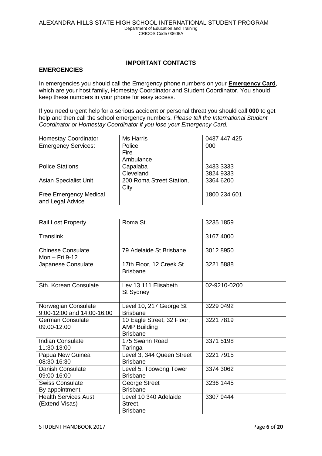#### **IMPORTANT CONTACTS**

#### **EMERGENCIES**

In emergencies you should call the Emergency phone numbers on your **Emergency Card**, which are your host family, Homestay Coordinator and Student Coordinator. You should keep these numbers in your phone for easy access.

If you need urgent help for a serious accident or personal threat you should call **000** to get help and then call the school emergency numbers. *Please tell the International Student Coordinator or Homestay Coordinator if you lose your Emergency Card.*

| <b>Homestay Coordinator</b>   | <b>Ms Harris</b>         | 0437 447 425 |
|-------------------------------|--------------------------|--------------|
| <b>Emergency Services:</b>    | Police                   | 000          |
|                               | Fire                     |              |
|                               | Ambulance                |              |
| <b>Police Stations</b>        | Capalaba                 | 3433 3333    |
|                               | Cleveland                | 3824 9333    |
| <b>Asian Specialist Unit</b>  | 200 Roma Street Station, | 3364 6200    |
|                               | City                     |              |
| <b>Free Emergency Medical</b> |                          | 1800 234 601 |
| and Legal Advice              |                          |              |

| <b>Rail Lost Property</b>                         | Roma St.                                                             | 3235 1859    |
|---------------------------------------------------|----------------------------------------------------------------------|--------------|
| <b>Translink</b>                                  |                                                                      | 3167 4000    |
| <b>Chinese Consulate</b><br>Mon - Fri 9-12        | 79 Adelaide St Brisbane                                              | 3012 8950    |
| Japanese Consulate                                | 17th Floor, 12 Creek St<br><b>Brisbane</b>                           | 3221 5888    |
| Sth. Korean Consulate                             | Lev 13 111 Elisabeth<br>St Sydney                                    | 02-9210-0200 |
| Norwegian Consulate<br>9:00-12:00 and 14:00-16:00 | Level 10, 217 George St<br><b>Brisbane</b>                           | 3229 0492    |
| German Consulate<br>09.00-12.00                   | 10 Eagle Street, 32 Floor,<br><b>AMP Building</b><br><b>Brisbane</b> | 3221 7819    |
| <b>Indian Consulate</b><br>11:30-13:00            | 175 Swann Road<br>Taringa                                            | 3371 5198    |
| Papua New Guinea<br>08:30-16:30                   | Level 3, 344 Queen Street<br><b>Brisbane</b>                         | 3221 7915    |
| <b>Danish Consulate</b><br>09:00-16:00            | Level 5, Toowong Tower<br><b>Brisbane</b>                            | 3374 3062    |
| <b>Swiss Consulate</b><br>By appointment          | George Street<br><b>Brisbane</b>                                     | 3236 1445    |
| <b>Health Services Aust</b><br>(Extend Visas)     | Level 10 340 Adelaide<br>Street.<br><b>Brisbane</b>                  | 3307 9444    |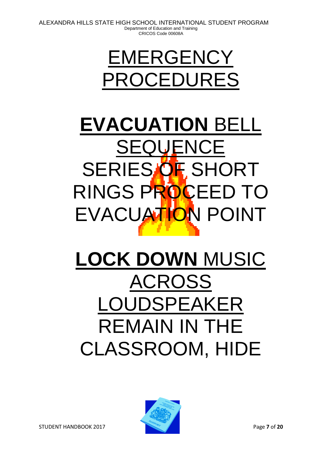# EMERGENCY PROCEDURES

# **EVACUATION** BELL SEQUENCE SERIES OF SHORT RINGS PROCEED TO EVACUATION POINT

# **LOCK DOWN** MUSIC ACROSS LOUDSPEAKER REMAIN IN THE CLASSROOM, HIDE

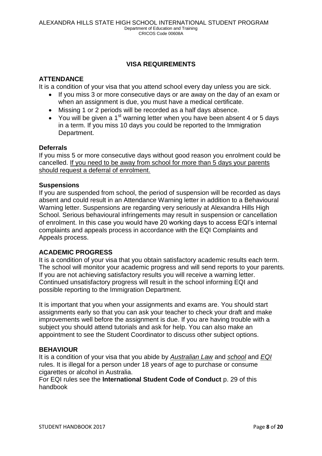#### **VISA REQUIREMENTS**

#### **ATTENDANCE**

It is a condition of your visa that you attend school every day unless you are sick.

- If you miss 3 or more consecutive days or are away on the day of an exam or when an assignment is due, you must have a medical certificate.
- Missing 1 or 2 periods will be recorded as a half days absence.
- You will be given a 1<sup>st</sup> warning letter when you have been absent 4 or 5 days in a term. If you miss 10 days you could be reported to the Immigration Department.

#### **Deferrals**

If you miss 5 or more consecutive days without good reason you enrolment could be cancelled. If you need to be away from school for more than 5 days your parents should request a deferral of enrolment.

#### **Suspensions**

If you are suspended from school, the period of suspension will be recorded as days absent and could result in an Attendance Warning letter in addition to a Behavioural Warning letter. Suspensions are regarding very seriously at Alexandra Hills High School. Serious behavioural infringements may result in suspension or cancellation of enrolment. In this case you would have 20 working days to access EQI's internal complaints and appeals process in accordance with the EQI Complaints and Appeals process.

#### **ACADEMIC PROGRESS**

It is a condition of your visa that you obtain satisfactory academic results each term. The school will monitor your academic progress and will send reports to your parents. If you are not achieving satisfactory results you will receive a warning letter. Continued unsatisfactory progress will result in the school informing EQI and possible reporting to the Immigration Department.

It is important that you when your assignments and exams are. You should start assignments early so that you can ask your teacher to check your draft and make improvements well before the assignment is due. If you are having trouble with a subject you should attend tutorials and ask for help. You can also make an appointment to see the Student Coordinator to discuss other subject options.

#### **BEHAVIOUR**

It is a condition of your visa that you abide by *Australian Law* and *school* and *EQI* rules. It is illegal for a person under 18 years of age to purchase or consume cigarettes or alcohol in Australia.

For EQI rules see the **International Student Code of Conduct** p. 29 of this handbook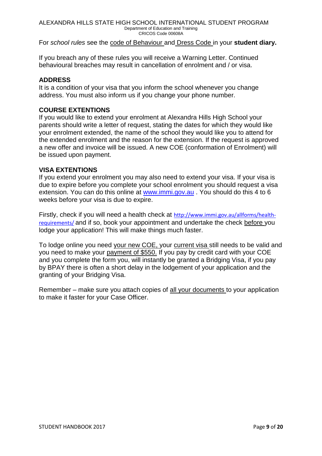#### For *school rules* see the code of Behaviour and Dress Code in your **student diary.**

If you breach any of these rules you will receive a Warning Letter. Continued behavioural breaches may result in cancellation of enrolment and / or visa.

#### **ADDRESS**

It is a condition of your visa that you inform the school whenever you change address. You must also inform us if you change your phone number.

#### **COURSE EXTENTIONS**

If you would like to extend your enrolment at Alexandra Hills High School your parents should write a letter of request, stating the dates for which they would like your enrolment extended, the name of the school they would like you to attend for the extended enrolment and the reason for the extension. If the request is approved a new offer and invoice will be issued. A new COE (conformation of Enrolment) will be issued upon payment.

#### **VISA EXTENTIONS**

If you extend your enrolment you may also need to extend your visa. If your visa is due to expire before you complete your school enrolment you should request a visa extension. You can do this online at [www.immi.gov.au](http://www.immi.gov.au/) . You should do this 4 to 6 weeks before your visa is due to expire.

Firstly, check if you will need a health check at [http://www.immi.gov.au/allforms/health](http://www.immi.gov.au/allforms/health-requirements/)[requirements/](http://www.immi.gov.au/allforms/health-requirements/) and if so, book your appointment and undertake the check before you lodge your application! This will make things much faster.

To lodge online you need your new COE, your current visa still needs to be valid and you need to make your payment of \$550. If you pay by credit card with your COE and you complete the form you, will instantly be granted a Bridging Visa, if you pay by BPAY there is often a short delay in the lodgement of your application and the granting of your Bridging Visa.

Remember – make sure you attach copies of all your documents to your application to make it faster for your Case Officer.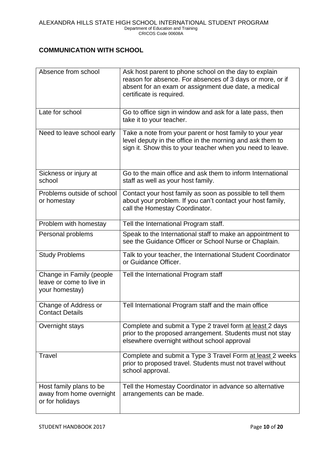#### **COMMUNICATION WITH SCHOOL**

| Absence from school                                                    | Ask host parent to phone school on the day to explain                                                                                                                               |  |
|------------------------------------------------------------------------|-------------------------------------------------------------------------------------------------------------------------------------------------------------------------------------|--|
|                                                                        | reason for absence. For absences of 3 days or more, or if<br>absent for an exam or assignment due date, a medical<br>certificate is required.                                       |  |
| Late for school                                                        | Go to office sign in window and ask for a late pass, then<br>take it to your teacher.                                                                                               |  |
| Need to leave school early                                             | Take a note from your parent or host family to your year<br>level deputy in the office in the morning and ask them to<br>sign it. Show this to your teacher when you need to leave. |  |
| Sickness or injury at<br>school                                        | Go to the main office and ask them to inform International<br>staff as well as your host family.                                                                                    |  |
| Problems outside of school<br>or homestay                              | Contact your host family as soon as possible to tell them<br>about your problem. If you can't contact your host family,<br>call the Homestay Coordinator.                           |  |
| Problem with homestay                                                  | Tell the International Program staff.                                                                                                                                               |  |
| Personal problems                                                      | Speak to the International staff to make an appointment to<br>see the Guidance Officer or School Nurse or Chaplain.                                                                 |  |
| <b>Study Problems</b>                                                  | Talk to your teacher, the International Student Coordinator<br>or Guidance Officer.                                                                                                 |  |
| Change in Family (people<br>leave or come to live in<br>your homestay) | Tell the International Program staff                                                                                                                                                |  |
| Change of Address or<br><b>Contact Details</b>                         | Tell International Program staff and the main office                                                                                                                                |  |
| Overnight stays                                                        | Complete and submit a Type 2 travel form at least 2 days<br>prior to the proposed arrangement. Students must not stay<br>elsewhere overnight without school approval                |  |
| Travel                                                                 | Complete and submit a Type 3 Travel Form at least 2 weeks<br>prior to proposed travel. Students must not travel without<br>school approval.                                         |  |
| Host family plans to be<br>away from home overnight<br>or for holidays | Tell the Homestay Coordinator in advance so alternative<br>arrangements can be made.                                                                                                |  |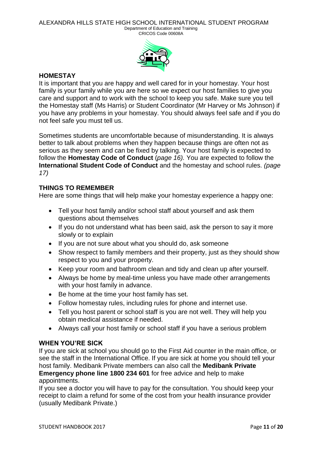Department of Education and Training CRICOS Code 00608A



#### **HOMESTAY**

It is important that you are happy and well cared for in your homestay. Your host family is your family while you are here so we expect our host families to give you care and support and to work with the school to keep you safe. Make sure you tell the Homestay staff (Ms Harris) or Student Coordinator (Mr Harvey or Ms Johnson) if you have any problems in your homestay. You should always feel safe and if you do not feel safe you must tell us.

Sometimes students are uncomfortable because of misunderstanding. It is always better to talk about problems when they happen because things are often not as serious as they seem and can be fixed by talking. Your host family is expected to follow the **Homestay Code of Conduct** (*page 16).* You are expected to follow the **International Student Code of Conduct** and the homestay and school rules. *(page 17)*

#### **THINGS TO REMEMBER**

Here are some things that will help make your homestay experience a happy one:

- Tell your host family and/or school staff about yourself and ask them questions about themselves
- If you do not understand what has been said, ask the person to say it more slowly or to explain
- If you are not sure about what you should do, ask someone
- Show respect to family members and their property, just as they should show respect to you and your property.
- Keep your room and bathroom clean and tidy and clean up after yourself.
- Always be home by meal-time unless you have made other arrangements with your host family in advance.
- Be home at the time your host family has set.
- Follow homestay rules, including rules for phone and internet use.
- Tell you host parent or school staff is you are not well. They will help you obtain medical assistance if needed.
- Always call your host family or school staff if you have a serious problem

#### **WHEN YOU'RE SICK**

If you are sick at school you should go to the First Aid counter in the main office, or see the staff in the International Office. If you are sick at home you should tell your host family. Medibank Private members can also call the **Medibank Private Emergency phone line 1800 234 601** for free advice and help to make

#### appointments.

If you see a doctor you will have to pay for the consultation. You should keep your receipt to claim a refund for some of the cost from your health insurance provider (usually Medibank Private.)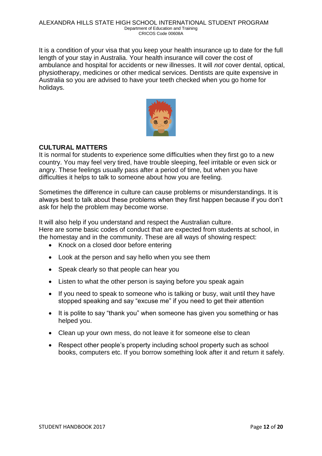It is a condition of your visa that you keep your health insurance up to date for the full length of your stay in Australia. Your health insurance will cover the cost of ambulance and hospital for accidents or new illnesses. It will *not* cover dental, optical, physiotherapy, medicines or other medical services. Dentists are quite expensive in Australia so you are advised to have your teeth checked when you go home for holidays.



#### **CULTURAL MATTERS**

It is normal for students to experience some difficulties when they first go to a new country. You may feel very tired, have trouble sleeping, feel irritable or even sick or angry. These feelings usually pass after a period of time, but when you have difficulties it helps to talk to someone about how you are feeling.

Sometimes the difference in culture can cause problems or misunderstandings. It is always best to talk about these problems when they first happen because if you don't ask for help the problem may become worse.

It will also help if you understand and respect the Australian culture. Here are some basic codes of conduct that are expected from students at school, in the homestay and in the community. These are all ways of showing respect:

- Knock on a closed door before entering
- Look at the person and say hello when you see them
- Speak clearly so that people can hear you
- Listen to what the other person is saying before you speak again
- If you need to speak to someone who is talking or busy, wait until they have stopped speaking and say "excuse me" if you need to get their attention
- It is polite to say "thank you" when someone has given you something or has helped you.
- Clean up your own mess, do not leave it for someone else to clean
- Respect other people's property including school property such as school books, computers etc. If you borrow something look after it and return it safely.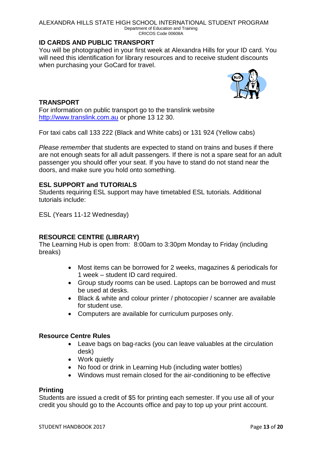ALEXANDRA HILLS STATE HIGH SCHOOL INTERNATIONAL STUDENT PROGRAM Department of Education and Training CRICOS Code 00608A

#### **ID CARDS AND PUBLIC TRANSPORT**

You will be photographed in your first week at Alexandra Hills for your ID card. You will need this identification for library resources and to receive student discounts when purchasing your GoCard for travel.



#### **TRANSPORT**

For information on public transport go to the translink website [http://www.translink.com.au](http://www.translink.com.au/) or phone 13 12 30.

For taxi cabs call 133 222 (Black and White cabs) or 131 924 (Yellow cabs)

*Please remember* that students are expected to stand on trains and buses if there are not enough seats for all adult passengers. If there is not a spare seat for an adult passenger you should offer your seat. If you have to stand do not stand near the doors, and make sure you hold onto something.

#### **ESL SUPPORT and TUTORIALS**

Students requiring ESL support may have timetabled ESL tutorials. Additional tutorials include:

ESL (Years 11-12 Wednesday)

#### **RESOURCE CENTRE (LIBRARY)**

The Learning Hub is open from: 8:00am to 3:30pm Monday to Friday (including breaks)

- Most items can be borrowed for 2 weeks, magazines & periodicals for 1 week – student ID card required.
- Group study rooms can be used. Laptops can be borrowed and must be used at desks.
- Black & white and colour printer / photocopier / scanner are available for student use.
- Computers are available for curriculum purposes only.

#### **Resource Centre Rules**

- Leave bags on bag-racks (you can leave valuables at the circulation desk)
- Work quietly
- No food or drink in Learning Hub (including water bottles)
- Windows must remain closed for the air-conditioning to be effective

#### **Printing**

Students are issued a credit of \$5 for printing each semester. If you use all of your credit you should go to the Accounts office and pay to top up your print account.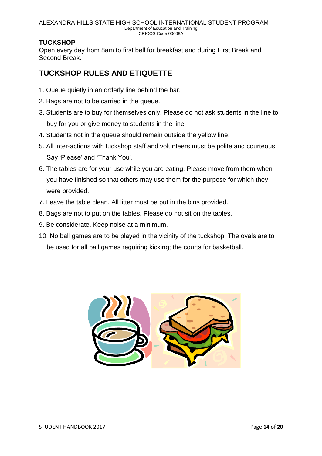#### **TUCKSHOP**

Open every day from 8am to first bell for breakfast and during First Break and Second Break.

# **TUCKSHOP RULES AND ETIQUETTE**

- 1. Queue quietly in an orderly line behind the bar.
- 2. Bags are not to be carried in the queue.
- 3. Students are to buy for themselves only. Please do not ask students in the line to buy for you or give money to students in the line.
- 4. Students not in the queue should remain outside the yellow line.
- 5. All inter-actions with tuckshop staff and volunteers must be polite and courteous. Say 'Please' and 'Thank You'.
- 6. The tables are for your use while you are eating. Please move from them when you have finished so that others may use them for the purpose for which they were provided.
- 7. Leave the table clean. All litter must be put in the bins provided.
- 8. Bags are not to put on the tables. Please do not sit on the tables.
- 9. Be considerate. Keep noise at a minimum.
- 10. No ball games are to be played in the vicinity of the tuckshop. The ovals are to be used for all ball games requiring kicking; the courts for basketball.

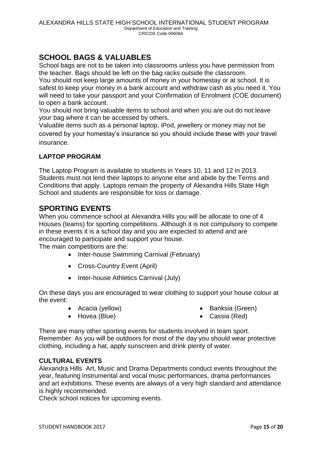# **SCHOOL BAGS & VALUABLES**

School bags are not to be taken into classrooms unless you have permission from the teacher. Bags should be left on the bag racks outside the classroom.

You should not keep large amounts of money in your homestay or at school. It is safest to keep your money in a bank account and withdraw cash as you need it. You will need to take your passport and your Confirmation of Enrolment (COE document) to open a bank account.

You should not bring valuable items to school and when you are out do not leave your bag where it can be accessed by others.

Valuable items such as a personal laptop, iPod, jewellery or money may not be covered by your homestay's insurance so you should include these with your travel insurance.

### **LAPTOP PROGRAM**

The Laptop Program is available to students in Years 10, 11 and 12 in 2013. Students must not lend their laptops to anyone else and abide by the Terms and Conditions that apply. Laptops remain the property of Alexandra Hills State High School and students are responsible for loss or damage.

## **SPORTING EVENTS**

When you commence school at Alexandra Hills you will be allocate to one of 4 Houses (teams) for sporting competitions. Although it is not compulsory to compete in these events it is a school day and you are expected to attend and are encouraged to participate and support your house.

The main competitions are the:

- Inter-house Swimming Carnival (February)
- Cross-Country Event (April)
- Inter-house Athletics Carnival (July)

On these days you are encouraged to wear clothing to support your house colour at the event:

• Acacia (vellow)

• Banksia (Green)

• Hovea (Blue)

- 
- Cassia (Red)

There are many other sporting events for students involved in team sport. Remember: As you will be outdoors for most of the day you should wear protective clothing, including a hat, apply sunscreen and drink plenty of water.

#### **CULTURAL EVENTS**

Alexandra Hills Art, Music and Drama Departments conduct events throughout the year, featuring instrumental and vocal music performances, drama performances and art exhibitions. These events are always of a very high standard and attendance is highly recommended.

Check school notices for upcoming events.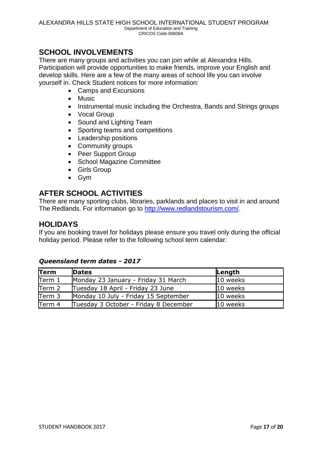## **SCHOOL INVOLVEMENTS**

There are many groups and activities you can join while at Alexandra Hills. Participation will provide opportunities to make friends, improve your English and develop skills. Here are a few of the many areas of school life you can involve yourself in. Check Student notices for more information:

- Camps and Excursions
- Music
- Instrumental music including the Orchestra, Bands and Strings groups
- Vocal Group
- Sound and Lighting Team
- Sporting teams and competitions
- Leadership positions
- Community groups
- Peer Support Group
- School Magazine Committee
- Girls Group
- Gym

### **AFTER SCHOOL ACTIVITIES**

There are many sporting clubs, libraries, parklands and places to visit in and around The Redlands. For information go to [http://www.redlandstourism.com/.](http://www.redlandstourism.com/)

### **HOLIDAYS**

If you are booking travel for holidays please ensure you travel only during the official holiday period. Please refer to the following school term calendar:

#### *Queensland term dates - 2017*

| Term   | <b>Dates</b>                          | Length   |
|--------|---------------------------------------|----------|
| Term 1 | Monday 23 January - Friday 31 March   | 10 weeks |
| Term 2 | Tuesday 18 April - Friday 23 June     | 10 weeks |
| Term 3 | Monday 10 July - Friday 15 September  | 10 weeks |
| Term 4 | Tuesday 3 October - Friday 8 December | 10 weeks |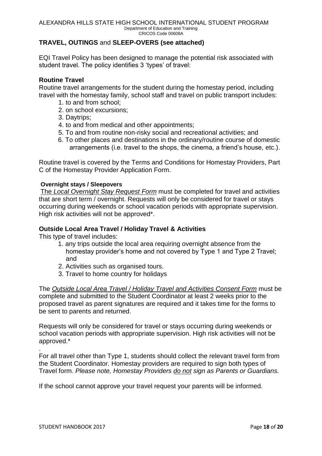#### **TRAVEL, OUTINGS** and **SLEEP-OVERS (see attached)**

EQI Travel Policy has been designed to manage the potential risk associated with student travel. The policy identifies 3 'types' of travel:

#### **Routine Travel**

Routine travel arrangements for the student during the homestay period, including travel with the homestay family, school staff and travel on public transport includes:

- 1. to and from school;
- 2. on school excursions;
- 3. Daytrips;
- 4. to and from medical and other appointments;
- 5. To and from routine non-risky social and recreational activities; and
- 6. To other places and destinations in the ordinary/routine course of domestic arrangements (i.e. travel to the shops, the cinema, a friend's house, etc.).

Routine travel is covered by the Terms and Conditions for Homestay Providers, Part C of the Homestay Provider Application Form.

#### **Overnight stays / Sleepovers**

The *Local Overnight Stay Request Form* must be completed for travel and activities that are short term / overnight. Requests will only be considered for travel or stays occurring during weekends or school vacation periods with appropriate supervision. High risk activities will not be approved\*.

#### **Outside Local Area Travel / Holiday Travel & Activities**

This type of travel includes:

- 1. any trips outside the local area requiring overnight absence from the homestay provider's home and not covered by Type 1 and Type 2 Travel; and
- 2. Activities such as organised tours.
- 3. Travel to home country for holidays

The *Outside Local Area Travel / Holiday Travel and Activities Consent Form* must be complete and submitted to the Student Coordinator at least 2 weeks prior to the proposed travel as parent signatures are required and it takes time for the forms to be sent to parents and returned.

Requests will only be considered for travel or stays occurring during weekends or school vacation periods with appropriate supervision. High risk activities will not be approved.\*

For all travel other than Type 1, students should collect the relevant travel form from the Student Coordinator. Homestay providers are required to sign both types of Travel form. *Please note, Homestay Providers do not sign as Parents or Guardians.*

If the school cannot approve your travel request your parents will be informed.

.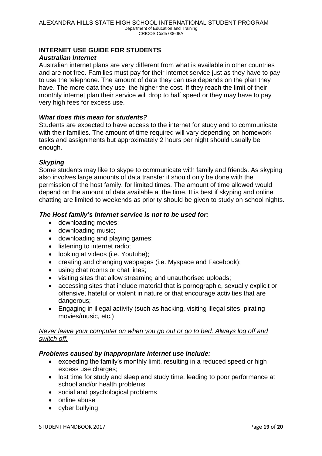#### **INTERNET USE GUIDE FOR STUDENTS**

#### *Australian Internet*

Australian internet plans are very different from what is available in other countries and are not free. Families must pay for their internet service just as they have to pay to use the telephone. The amount of data they can use depends on the plan they have. The more data they use, the higher the cost. If they reach the limit of their monthly internet plan their service will drop to half speed or they may have to pay very high fees for excess use.

#### *What does this mean for students?*

Students are expected to have access to the internet for study and to communicate with their families. The amount of time required will vary depending on homework tasks and assignments but approximately 2 hours per night should usually be enough.

#### *Skyping*

Some students may like to skype to communicate with family and friends. As skyping also involves large amounts of data transfer it should only be done with the permission of the host family, for limited times. The amount of time allowed would depend on the amount of data available at the time. It is best if skyping and online chatting are limited to weekends as priority should be given to study on school nights.

#### *The Host family's Internet service is not to be used for:*

- downloading movies;
- downloading music;
- downloading and playing games;
- **.** listening to internet radio;
- looking at videos (i.e. Youtube);
- creating and changing webpages (i.e. Myspace and Facebook);
- using chat rooms or chat lines;
- visiting sites that allow streaming and unauthorised uploads;
- accessing sites that include material that is pornographic, sexually explicit or offensive, hateful or violent in nature or that encourage activities that are dangerous;
- Engaging in illegal activity (such as hacking, visiting illegal sites, pirating movies/music, etc.)

#### *Never leave your computer on when you go out or go to bed. Always log off and switch off.*

#### *Problems caused by inappropriate internet use include:*

- exceeding the family's monthly limit, resulting in a reduced speed or high excess use charges:
- lost time for study and sleep and study time, leading to poor performance at school and/or health problems
- social and psychological problems
- online abuse
- cyber bullying